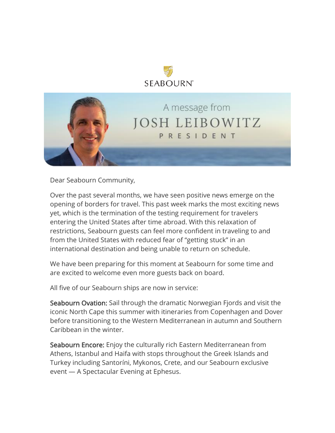



Dear Seabourn Community,

Over the past several months, we have seen positive news emerge on the opening of borders for travel. This past week marks the most exciting news yet, which is the termination of the testing requirement for travelers entering the United States after time abroad. With this relaxation of restrictions, Seabourn guests can feel more confident in traveling to and from the United States with reduced fear of "getting stuck" in an international destination and being unable to return on schedule.

We have been preparing for this moment at Seabourn for some time and are excited to welcome even more guests back on board.

All five of our Seabourn ships are now in service:

Seabourn Ovation: Sail through the dramatic Norwegian Fjords and visit the iconic North Cape this summer with itineraries from Copenhagen and Dover before transitioning to the Western Mediterranean in autumn and Southern Caribbean in the winter.

Seabourn Encore: Enjoy the culturally rich Eastern Mediterranean from Athens, Istanbul and Haifa with stops throughout the Greek Islands and Turkey including Santoríni, Mykonos, Crete, and our Seabourn exclusive event — A Spectacular Evening at Ephesus.